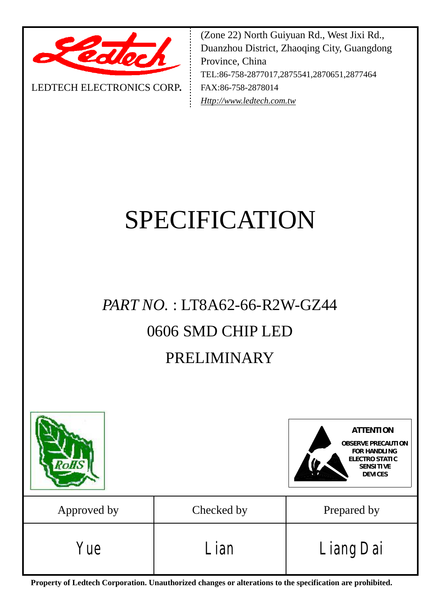

LEDTECH ELECTRONICS CORP**.**

(Zone 22) North Guiyuan Rd., West Jixi Rd., Duanzhou District, Zhaoqing City, Guangdong Province, China TEL:86-758-2877017,2875541,2870651,2877464 FAX:86-758-2878014 *[Http://www.ledtech.com.tw](http://www.ledtech.com.tw)*

# SPECIFICATION

## *PART NO.* : LT8A62-66-R2W-GZ44 0606 SMD CHIP LED PRELIMINARY



**Property of Ledtech Corporation. Unauthorized changes or alterations to the specification are prohibited.**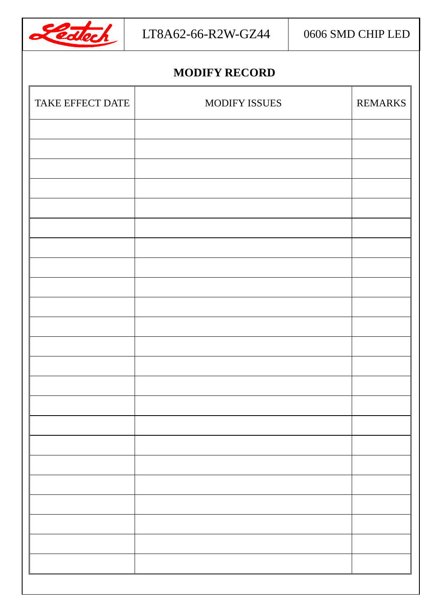

## **MODIFY RECORD**

| TAKE EFFECT DATE | <b>MODIFY ISSUES</b> | <b>REMARKS</b> |
|------------------|----------------------|----------------|
|                  |                      |                |
|                  |                      |                |
|                  |                      |                |
|                  |                      |                |
|                  |                      |                |
|                  |                      |                |
|                  |                      |                |
|                  |                      |                |
|                  |                      |                |
|                  |                      |                |
|                  |                      |                |
|                  |                      |                |
|                  |                      |                |
|                  |                      |                |
|                  |                      |                |
|                  |                      |                |
|                  |                      |                |
|                  |                      |                |
|                  |                      |                |
|                  |                      |                |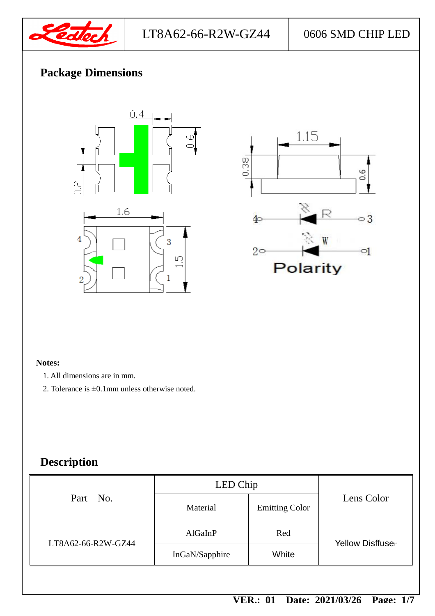

## **Package Dimensions**





#### **Notes:**

- 1. All dimensions are in mm.
- 2. Tolerance is ±0.1mm unless otherwise noted.

## **Description**

| Part No.           | LED Chip       |                       |                         |  |
|--------------------|----------------|-----------------------|-------------------------|--|
|                    | Material       | <b>Emitting Color</b> | Lens Color              |  |
| LT8A62-66-R2W-GZ44 | AlGaInP        | Red                   | <b>Yellow Disffuser</b> |  |
|                    | InGaN/Sapphire | White                 |                         |  |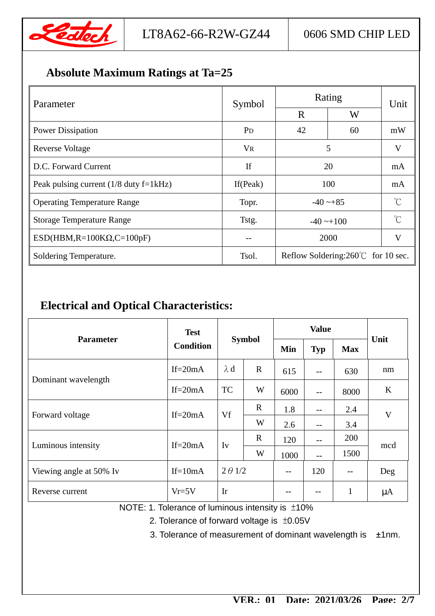

## **Absolute Maximum Ratings at Ta=25**

| Parameter                                | Symbol         | Rating                                      | Unit |             |  |
|------------------------------------------|----------------|---------------------------------------------|------|-------------|--|
|                                          |                | W<br>R                                      |      |             |  |
| <b>Power Dissipation</b>                 | P <sub>D</sub> | 42                                          | 60   | mW          |  |
| Reverse Voltage                          | V <sub>R</sub> | 5                                           |      | V           |  |
| D.C. Forward Current                     | If             | 20                                          |      | mA          |  |
| Peak pulsing current $(1/8$ duty f=1kHz) | If $(Peak)$    | 100                                         |      | mA          |  |
| <b>Operating Temperature Range</b>       | Topr.          | $-40 - 85$                                  |      | $^{\circ}C$ |  |
| <b>Storage Temperature Range</b>         | Tstg.          | $-40 \rightarrow 100$                       |      | $\hat{C}$   |  |
| $ESD(HBM, R=100K\Omega, C=100pF)$        | $- -$          | 2000                                        |      | V           |  |
| Soldering Temperature.                   | Tsol.          | Reflow Soldering: $260^{\circ}$ for 10 sec. |      |             |  |

## **Electrical and Optical Characteristics:**

| <b>Parameter</b>        | <b>Test</b>      | <b>Symbol</b>  |             | <b>Value</b> |            |              | Unit    |
|-------------------------|------------------|----------------|-------------|--------------|------------|--------------|---------|
|                         | <b>Condition</b> |                |             | Min          | <b>Typ</b> | <b>Max</b>   |         |
|                         | If= $20mA$       | $\lambda$ d    | $\mathbf R$ | 615          | $-$        | 630          | nm      |
| Dominant wavelength     | If= $20mA$       | <b>TC</b>      | W           | 6000         | $-$        | 8000         | $\bf K$ |
| Forward voltage         | If= $20mA$       | Vf             | $\mathbf R$ | 1.8          | $- -$      | 2.4          | V       |
|                         |                  |                | W           | 2.6          | $- -$      | 3.4          |         |
| Luminous intensity      | If= $20mA$       | Iv             | $\mathbf R$ | 120          |            | 200          | mcd     |
|                         |                  |                | W           | 1000         | $-$        | 1500         |         |
| Viewing angle at 50% Iv | $If=10mA$        | $2 \theta$ 1/2 |             | $-$          | 120        | $-$          | Deg     |
| Reverse current         | $Vr=5V$          | Ir             |             |              |            | $\mathbf{1}$ | $\mu A$ |

NOTE: 1. Tolerance of luminous intensity is ±10%

2. Tolerance of forward voltage is ±0.05V

3. Tolerance of measurement of dominant wavelength is ±1nm.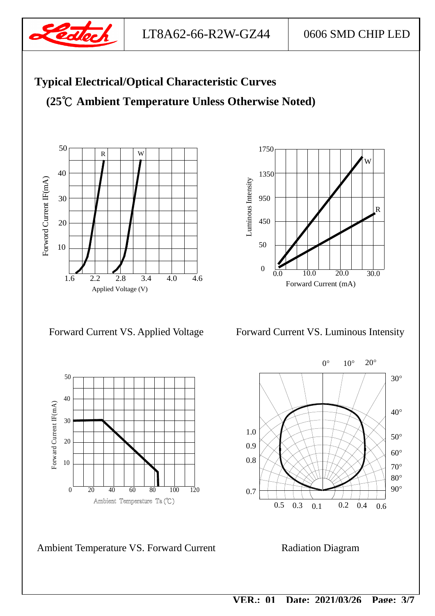

LT8A62-66-R2W-GZ44 0606 SMD CHIP LED

## **Typical Electrical/Optical Characteristic Curves**

**(25℃ Ambient Temperature Unless Otherwise Noted)** 





Forward Current VS. Applied Voltage Forward Current VS. Luminous Intensity



Ambient Temperature VS. Forward Current Radiation Diagram

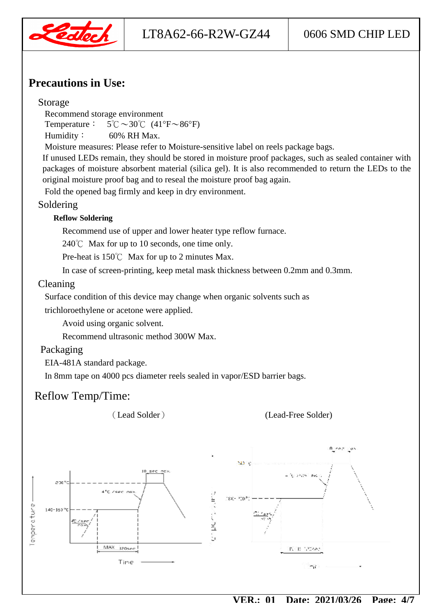

## **Precautions in Use:**

#### Storage

Recommend storage environment

Temperature:  $5^{\circ}$ C $\sim$ 30 $^{\circ}$ C $(41^{\circ}$ F $\sim$ 86 $^{\circ}$ F)

Humidity: 60% RH Max.

Moisture measures: Please refer to Moisture-sensitive label on reels package bags.

If unused LEDs remain, they should be stored in moisture proof packages, such as sealed container with packages of moisture absorbent material (silica gel). It is also recommended to return the LEDs to the original moisture proof bag and to reseal the moisture proof bag again.

Fold the opened bag firmly and keep in dry environment.

#### Soldering

#### **Reflow Soldering**

Recommend use of upper and lower heater type reflow furnace.

240℃ Max for up to 10 seconds, one time only.

Pre-heat is 150℃ Max for up to 2 minutes Max.

In case of screen-printing, keep metal mask thickness between 0.2mm and 0.3mm.

#### Cleaning

Surface condition of this device may change when organic solvents such as

trichloroethylene or acetone were applied.

Avoid using organic solvent.

Recommend ultrasonic method 300W Max.

#### Packaging

EIA-481A standard package.

In 8mm tape on 4000 pcs diameter reels sealed in vapor/ESD barrier bags.

## Reflow Temp/Time:

(Lead Solder) (Lead-Free Solder)

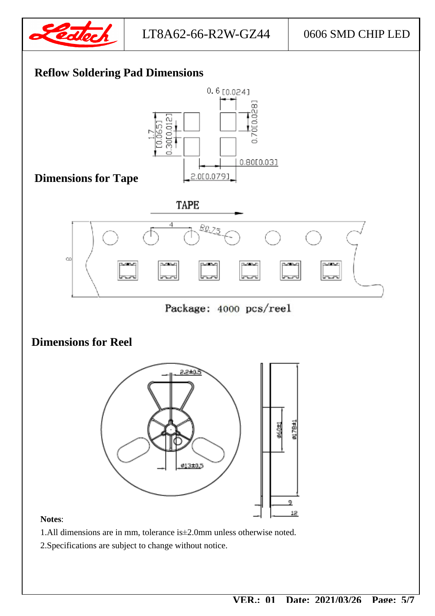

## **Reflow Soldering Pad Dimensions**

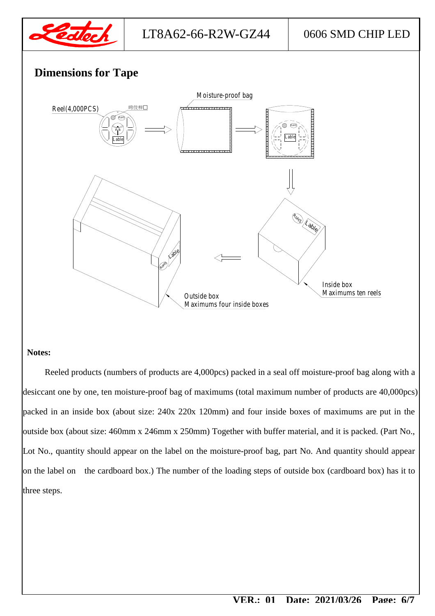

### **Dimensions for Tape**



#### **Notes:**

Reeled products (numbers of products are 4,000pcs) packed in a seal off moisture-proof bag along with a desiccant one by one, ten moisture-proof bag of maximums (total maximum number of products are 40,000pcs) packed in an inside box (about size: 240x 220x 120mm) and four inside boxes of maximums are put in the outside box (about size: 460mm x 246mm x 250mm) Together with buffer material, and it is packed. (Part No., Lot No., quantity should appear on the label on the moisture-proof bag, part No. And quantity should appear on the label on the cardboard box.) The number of the loading steps of outside box (cardboard box) has it to three steps.